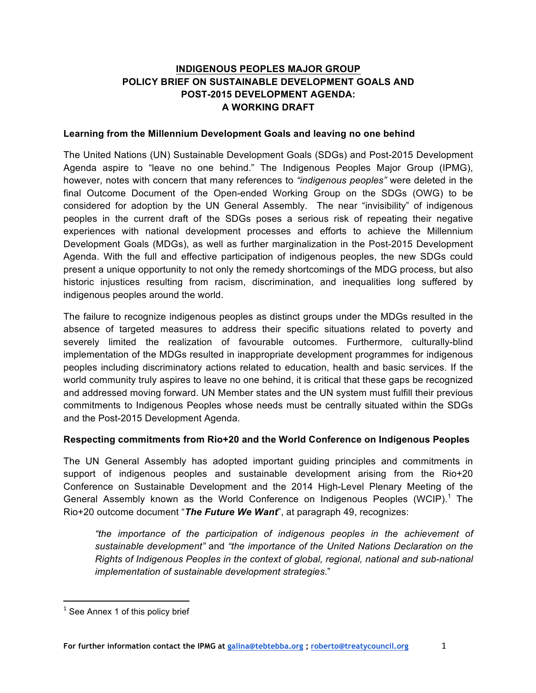# **INDIGENOUS PEOPLES MAJOR GROUP POLICY BRIEF ON SUSTAINABLE DEVELOPMENT GOALS AND POST-2015 DEVELOPMENT AGENDA: A WORKING DRAFT**

#### **Learning from the Millennium Development Goals and leaving no one behind**

The United Nations (UN) Sustainable Development Goals (SDGs) and Post-2015 Development Agenda aspire to "leave no one behind." The Indigenous Peoples Major Group (IPMG), however, notes with concern that many references to *"indigenous peoples"* were deleted in the final Outcome Document of the Open-ended Working Group on the SDGs (OWG) to be considered for adoption by the UN General Assembly. The near "invisibility" of indigenous peoples in the current draft of the SDGs poses a serious risk of repeating their negative experiences with national development processes and efforts to achieve the Millennium Development Goals (MDGs), as well as further marginalization in the Post-2015 Development Agenda. With the full and effective participation of indigenous peoples, the new SDGs could present a unique opportunity to not only the remedy shortcomings of the MDG process, but also historic injustices resulting from racism, discrimination, and inequalities long suffered by indigenous peoples around the world.

The failure to recognize indigenous peoples as distinct groups under the MDGs resulted in the absence of targeted measures to address their specific situations related to poverty and severely limited the realization of favourable outcomes. Furthermore, culturally-blind implementation of the MDGs resulted in inappropriate development programmes for indigenous peoples including discriminatory actions related to education, health and basic services. If the world community truly aspires to leave no one behind, it is critical that these gaps be recognized and addressed moving forward. UN Member states and the UN system must fulfill their previous commitments to Indigenous Peoples whose needs must be centrally situated within the SDGs and the Post-2015 Development Agenda.

## **Respecting commitments from Rio+20 and the World Conference on Indigenous Peoples**

The UN General Assembly has adopted important guiding principles and commitments in support of indigenous peoples and sustainable development arising from the Rio+20 Conference on Sustainable Development and the 2014 High-Level Plenary Meeting of the General Assembly known as the World Conference on Indigenous Peoples (WCIP).<sup>1</sup> The Rio+20 outcome document "*The Future We Want*", at paragraph 49, recognizes:

*"the importance of the participation of indigenous peoples in the achievement of sustainable development"* and *"the importance of the United Nations Declaration on the Rights of Indigenous Peoples in the context of global, regional, national and sub-national implementation of sustainable development strategies*."

<sup>&</sup>lt;u> 1989 - Jan Samuel Barbara, político establecido de la provincia de la provincia de la provincia de la provinci</u>  $<sup>1</sup>$  See Annex 1 of this policy brief</sup>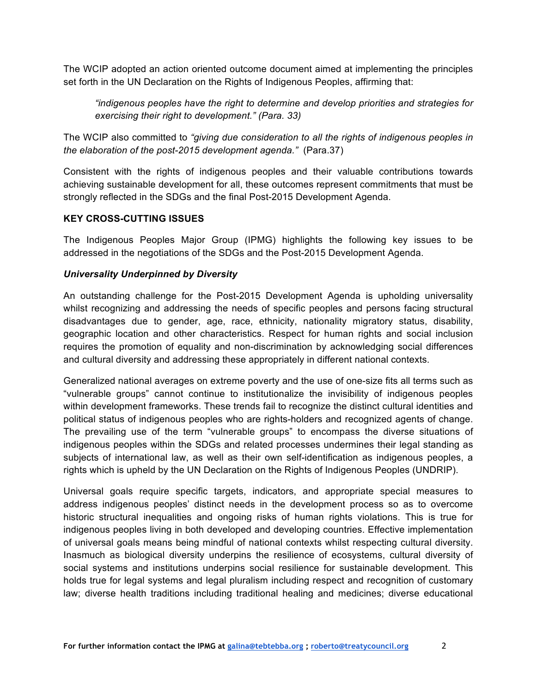The WCIP adopted an action oriented outcome document aimed at implementing the principles set forth in the UN Declaration on the Rights of Indigenous Peoples, affirming that:

*"indigenous peoples have the right to determine and develop priorities and strategies for exercising their right to development." (Para. 33)*

The WCIP also committed to *"giving due consideration to all the rights of indigenous peoples in the elaboration of the post-2015 development agenda."* (Para.37)

Consistent with the rights of indigenous peoples and their valuable contributions towards achieving sustainable development for all, these outcomes represent commitments that must be strongly reflected in the SDGs and the final Post-2015 Development Agenda.

# **KEY CROSS-CUTTING ISSUES**

The Indigenous Peoples Major Group (IPMG) highlights the following key issues to be addressed in the negotiations of the SDGs and the Post-2015 Development Agenda.

# *Universality Underpinned by Diversity*

An outstanding challenge for the Post-2015 Development Agenda is upholding universality whilst recognizing and addressing the needs of specific peoples and persons facing structural disadvantages due to gender, age, race, ethnicity, nationality migratory status, disability, geographic location and other characteristics. Respect for human rights and social inclusion requires the promotion of equality and non-discrimination by acknowledging social differences and cultural diversity and addressing these appropriately in different national contexts.

Generalized national averages on extreme poverty and the use of one-size fits all terms such as "vulnerable groups" cannot continue to institutionalize the invisibility of indigenous peoples within development frameworks. These trends fail to recognize the distinct cultural identities and political status of indigenous peoples who are rights-holders and recognized agents of change. The prevailing use of the term "vulnerable groups" to encompass the diverse situations of indigenous peoples within the SDGs and related processes undermines their legal standing as subjects of international law, as well as their own self-identification as indigenous peoples, a rights which is upheld by the UN Declaration on the Rights of Indigenous Peoples (UNDRIP).

Universal goals require specific targets, indicators, and appropriate special measures to address indigenous peoples' distinct needs in the development process so as to overcome historic structural inequalities and ongoing risks of human rights violations. This is true for indigenous peoples living in both developed and developing countries. Effective implementation of universal goals means being mindful of national contexts whilst respecting cultural diversity. Inasmuch as biological diversity underpins the resilience of ecosystems, cultural diversity of social systems and institutions underpins social resilience for sustainable development. This holds true for legal systems and legal pluralism including respect and recognition of customary law; diverse health traditions including traditional healing and medicines; diverse educational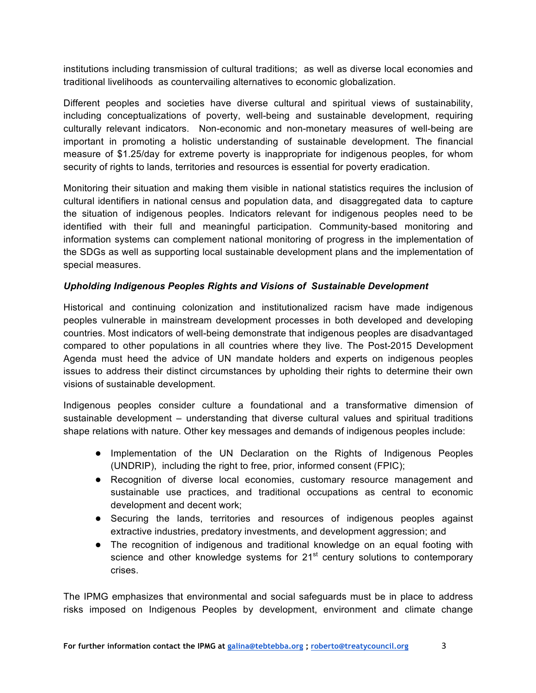institutions including transmission of cultural traditions; as well as diverse local economies and traditional livelihoods as countervailing alternatives to economic globalization.

Different peoples and societies have diverse cultural and spiritual views of sustainability, including conceptualizations of poverty, well-being and sustainable development, requiring culturally relevant indicators. Non-economic and non-monetary measures of well-being are important in promoting a holistic understanding of sustainable development. The financial measure of \$1.25/day for extreme poverty is inappropriate for indigenous peoples, for whom security of rights to lands, territories and resources is essential for poverty eradication.

Monitoring their situation and making them visible in national statistics requires the inclusion of cultural identifiers in national census and population data, and disaggregated data to capture the situation of indigenous peoples. Indicators relevant for indigenous peoples need to be identified with their full and meaningful participation. Community-based monitoring and information systems can complement national monitoring of progress in the implementation of the SDGs as well as supporting local sustainable development plans and the implementation of special measures.

# *Upholding Indigenous Peoples Rights and Visions of Sustainable Development*

Historical and continuing colonization and institutionalized racism have made indigenous peoples vulnerable in mainstream development processes in both developed and developing countries. Most indicators of well-being demonstrate that indigenous peoples are disadvantaged compared to other populations in all countries where they live. The Post-2015 Development Agenda must heed the advice of UN mandate holders and experts on indigenous peoples issues to address their distinct circumstances by upholding their rights to determine their own visions of sustainable development.

Indigenous peoples consider culture a foundational and a transformative dimension of sustainable development – understanding that diverse cultural values and spiritual traditions shape relations with nature. Other key messages and demands of indigenous peoples include:

- Implementation of the UN Declaration on the Rights of Indigenous Peoples (UNDRIP), including the right to free, prior, informed consent (FPIC);
- Recognition of diverse local economies, customary resource management and sustainable use practices, and traditional occupations as central to economic development and decent work;
- Securing the lands, territories and resources of indigenous peoples against extractive industries, predatory investments, and development aggression; and
- The recognition of indigenous and traditional knowledge on an equal footing with science and other knowledge systems for  $21<sup>st</sup>$  century solutions to contemporary crises.

The IPMG emphasizes that environmental and social safeguards must be in place to address risks imposed on Indigenous Peoples by development, environment and climate change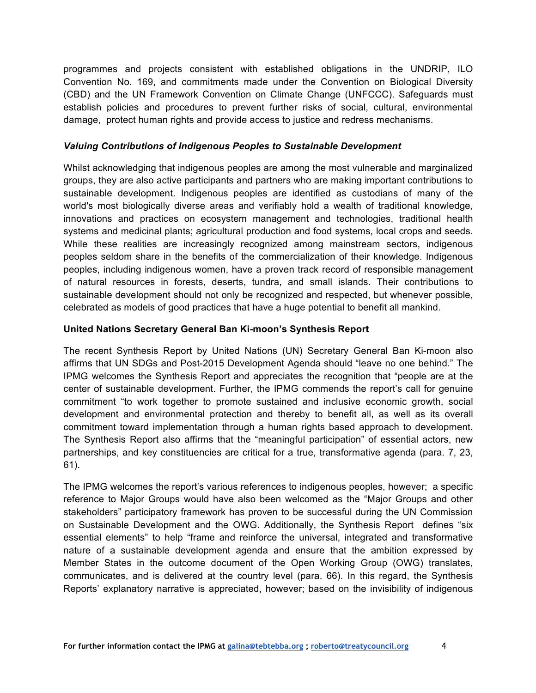programmes and projects consistent with established obligations in the UNDRIP, ILO Convention No. 169, and commitments made under the Convention on Biological Diversity (CBD) and the UN Framework Convention on Climate Change (UNFCCC). Safeguards must establish policies and procedures to prevent further risks of social, cultural, environmental damage, protect human rights and provide access to justice and redress mechanisms.

## *Valuing Contributions of Indigenous Peoples to Sustainable Development*

Whilst acknowledging that indigenous peoples are among the most vulnerable and marginalized groups, they are also active participants and partners who are making important contributions to sustainable development. Indigenous peoples are identified as custodians of many of the world's most biologically diverse areas and verifiably hold a wealth of traditional knowledge, innovations and practices on ecosystem management and technologies, traditional health systems and medicinal plants; agricultural production and food systems, local crops and seeds. While these realities are increasingly recognized among mainstream sectors, indigenous peoples seldom share in the benefits of the commercialization of their knowledge. Indigenous peoples, including indigenous women, have a proven track record of responsible management of natural resources in forests, deserts, tundra, and small islands. Their contributions to sustainable development should not only be recognized and respected, but whenever possible, celebrated as models of good practices that have a huge potential to benefit all mankind.

# **United Nations Secretary General Ban Ki-moon's Synthesis Report**

The recent Synthesis Report by United Nations (UN) Secretary General Ban Ki-moon also affirms that UN SDGs and Post-2015 Development Agenda should "leave no one behind." The IPMG welcomes the Synthesis Report and appreciates the recognition that "people are at the center of sustainable development. Further, the IPMG commends the report's call for genuine commitment "to work together to promote sustained and inclusive economic growth, social development and environmental protection and thereby to benefit all, as well as its overall commitment toward implementation through a human rights based approach to development. The Synthesis Report also affirms that the "meaningful participation" of essential actors, new partnerships, and key constituencies are critical for a true, transformative agenda (para. 7, 23, 61).

The IPMG welcomes the report's various references to indigenous peoples, however; a specific reference to Major Groups would have also been welcomed as the "Major Groups and other stakeholders" participatory framework has proven to be successful during the UN Commission on Sustainable Development and the OWG. Additionally, the Synthesis Report defines "six essential elements" to help "frame and reinforce the universal, integrated and transformative nature of a sustainable development agenda and ensure that the ambition expressed by Member States in the outcome document of the Open Working Group (OWG) translates, communicates, and is delivered at the country level (para. 66). In this regard, the Synthesis Reports' explanatory narrative is appreciated, however; based on the invisibility of indigenous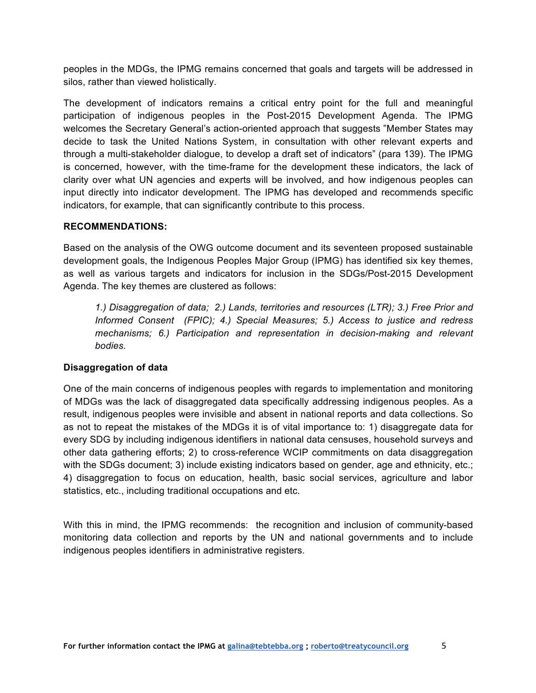peoples in the MDGs, the IPMG remains concerned that goals and targets will be addressed in silos, rather than viewed holistically.

The development of indicators remains a critical entry point for the full and meaningful participation of indigenous peoples in the Post-2015 Development Agenda. The IPMG welcomes the Secretary General's action-oriented approach that suggests "Member States may decide to task the United Nations System, in consultation with other relevant experts and through a multi-stakeholder dialogue, to develop a draft set of indicators" (para 139). The IPMG is concerned, however, with the time-frame for the development these indicators, the lack of clarity over what UN agencies and experts will be involved, and how indigenous peoples can input directly into indicator development. The IPMG has developed and recommends specific indicators, for example, that can significantly contribute to this process.

#### **RECOMMENDATIONS:**

Based on the analysis of the OWG outcome document and its seventeen proposed sustainable development goals, the Indigenous Peoples Major Group (IPMG) has identified six key themes, as well as various targets and indicators for inclusion in the SDGs/Post-2015 Development Agenda. The key themes are clustered as follows:

*1.) Disaggregation of data; 2.) Lands, territories and resources (LTR); 3.) Free Prior and Informed Consent (FPIC); 4.) Special Measures; 5.) Access to justice and redress mechanisms; 6.) Participation and representation in decision-making and relevant bodies.* 

## **Disaggregation of data**

One of the main concerns of indigenous peoples with regards to implementation and monitoring of MDGs was the lack of disaggregated data specifically addressing indigenous peoples. As a result, indigenous peoples were invisible and absent in national reports and data collections. So as not to repeat the mistakes of the MDGs it is of vital importance to: 1) disaggregate data for every SDG by including indigenous identifiers in national data censuses, household surveys and other data gathering efforts; 2) to cross-reference WCIP commitments on data disaggregation with the SDGs document; 3) include existing indicators based on gender, age and ethnicity, etc.; 4) disaggregation to focus on education, health, basic social services, agriculture and labor statistics, etc., including traditional occupations and etc.

With this in mind, the IPMG recommends: the recognition and inclusion of community-based monitoring data collection and reports by the UN and national governments and to include indigenous peoples identifiers in administrative registers.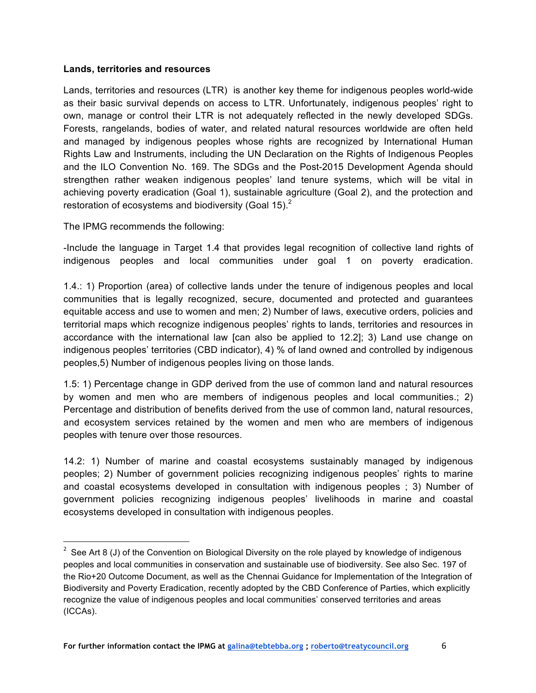#### **Lands, territories and resources**

Lands, territories and resources (LTR) is another key theme for indigenous peoples world-wide as their basic survival depends on access to LTR. Unfortunately, indigenous peoples' right to own, manage or control their LTR is not adequately reflected in the newly developed SDGs. Forests, rangelands, bodies of water, and related natural resources worldwide are often held and managed by indigenous peoples whose rights are recognized by International Human Rights Law and Instruments, including the UN Declaration on the Rights of Indigenous Peoples and the ILO Convention No. 169. The SDGs and the Post-2015 Development Agenda should strengthen rather weaken indigenous peoples' land tenure systems, which will be vital in achieving poverty eradication (Goal 1), sustainable agriculture (Goal 2), and the protection and restoration of ecosystems and biodiversity (Goal 15). $^2$ 

The IPMG recommends the following:

 

-Include the language in Target 1.4 that provides legal recognition of collective land rights of indigenous peoples and local communities under goal 1 on poverty eradication.

1.4.: 1) Proportion (area) of collective lands under the tenure of indigenous peoples and local communities that is legally recognized, secure, documented and protected and guarantees equitable access and use to women and men; 2) Number of laws, executive orders, policies and territorial maps which recognize indigenous peoples' rights to lands, territories and resources in accordance with the international law [can also be applied to 12.2]; 3) Land use change on indigenous peoples' territories (CBD indicator), 4) % of land owned and controlled by indigenous peoples,5) Number of indigenous peoples living on those lands.

1.5: 1) Percentage change in GDP derived from the use of common land and natural resources by women and men who are members of indigenous peoples and local communities.; 2) Percentage and distribution of benefits derived from the use of common land, natural resources, and ecosystem services retained by the women and men who are members of indigenous peoples with tenure over those resources.

14.2: 1) Number of marine and coastal ecosystems sustainably managed by indigenous peoples; 2) Number of government policies recognizing indigenous peoples' rights to marine and coastal ecosystems developed in consultation with indigenous peoples ; 3) Number of government policies recognizing indigenous peoples' livelihoods in marine and coastal ecosystems developed in consultation with indigenous peoples.

 $2$  See Art 8 (J) of the Convention on Biological Diversity on the role played by knowledge of indigenous peoples and local communities in conservation and sustainable use of biodiversity. See also Sec. 197 of the Rio+20 Outcome Document, as well as the Chennai Guidance for Implementation of the Integration of Biodiversity and Poverty Eradication, recently adopted by the CBD Conference of Parties, which explicitly recognize the value of indigenous peoples and local communities' conserved territories and areas (ICCAs).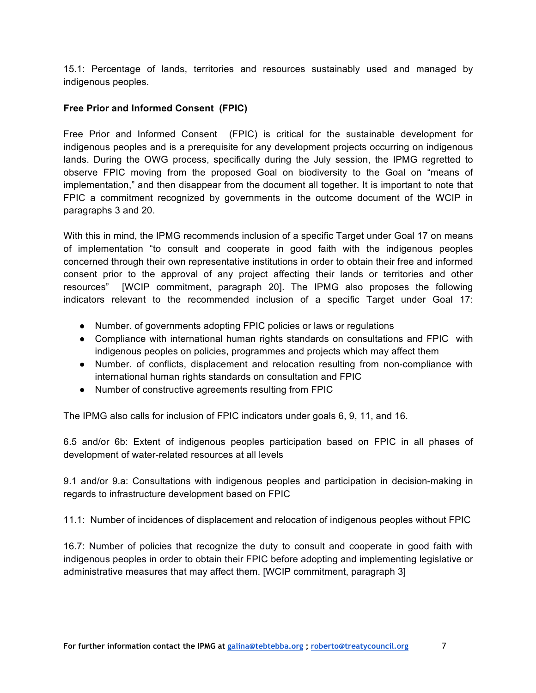15.1: Percentage of lands, territories and resources sustainably used and managed by indigenous peoples.

# **Free Prior and Informed Consent (FPIC)**

Free Prior and Informed Consent (FPIC) is critical for the sustainable development for indigenous peoples and is a prerequisite for any development projects occurring on indigenous lands. During the OWG process, specifically during the July session, the IPMG regretted to observe FPIC moving from the proposed Goal on biodiversity to the Goal on "means of implementation," and then disappear from the document all together. It is important to note that FPIC a commitment recognized by governments in the outcome document of the WCIP in paragraphs 3 and 20.

With this in mind, the IPMG recommends inclusion of a specific Target under Goal 17 on means of implementation "to consult and cooperate in good faith with the indigenous peoples concerned through their own representative institutions in order to obtain their free and informed consent prior to the approval of any project affecting their lands or territories and other resources" [WCIP commitment, paragraph 20]. The IPMG also proposes the following indicators relevant to the recommended inclusion of a specific Target under Goal 17:

- Number. of governments adopting FPIC policies or laws or regulations
- Compliance with international human rights standards on consultations and FPIC with indigenous peoples on policies, programmes and projects which may affect them
- Number. of conflicts, displacement and relocation resulting from non-compliance with international human rights standards on consultation and FPIC
- Number of constructive agreements resulting from FPIC

The IPMG also calls for inclusion of FPIC indicators under goals 6, 9, 11, and 16.

6.5 and/or 6b: Extent of indigenous peoples participation based on FPIC in all phases of development of water-related resources at all levels

9.1 and/or 9.a: Consultations with indigenous peoples and participation in decision-making in regards to infrastructure development based on FPIC

11.1: Number of incidences of displacement and relocation of indigenous peoples without FPIC

16.7: Number of policies that recognize the duty to consult and cooperate in good faith with indigenous peoples in order to obtain their FPIC before adopting and implementing legislative or administrative measures that may affect them. [WCIP commitment, paragraph 3]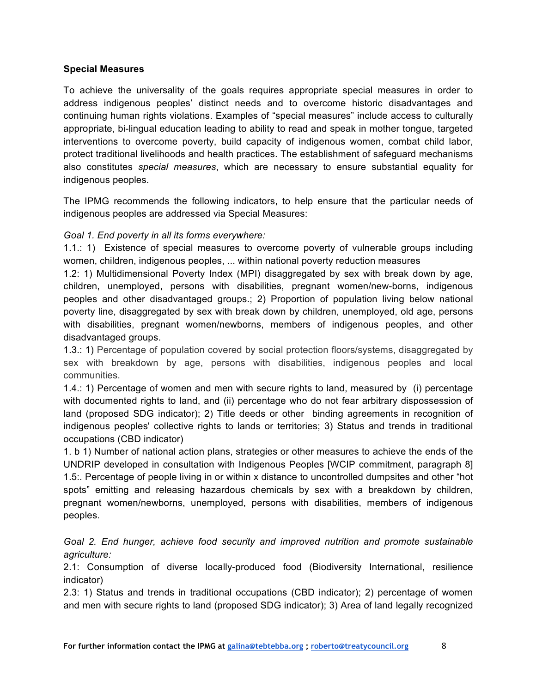#### **Special Measures**

To achieve the universality of the goals requires appropriate special measures in order to address indigenous peoples' distinct needs and to overcome historic disadvantages and continuing human rights violations. Examples of "special measures" include access to culturally appropriate, bi-lingual education leading to ability to read and speak in mother tongue, targeted interventions to overcome poverty, build capacity of indigenous women, combat child labor, protect traditional livelihoods and health practices. The establishment of safeguard mechanisms also constitutes *special measures*, which are necessary to ensure substantial equality for indigenous peoples.

The IPMG recommends the following indicators, to help ensure that the particular needs of indigenous peoples are addressed via Special Measures:

## *Goal 1. End poverty in all its forms everywhere:*

1.1.: 1) Existence of special measures to overcome poverty of vulnerable groups including women, children, indigenous peoples, ... within national poverty reduction measures

1.2: 1) Multidimensional Poverty Index (MPI) disaggregated by sex with break down by age, children, unemployed, persons with disabilities, pregnant women/new-borns, indigenous peoples and other disadvantaged groups.; 2) Proportion of population living below national poverty line, disaggregated by sex with break down by children, unemployed, old age, persons with disabilities, pregnant women/newborns, members of indigenous peoples, and other disadvantaged groups.

1.3.: 1) Percentage of population covered by social protection floors/systems, disaggregated by sex with breakdown by age, persons with disabilities, indigenous peoples and local communities.

1.4.: 1) Percentage of women and men with secure rights to land, measured by (i) percentage with documented rights to land, and (ii) percentage who do not fear arbitrary dispossession of land (proposed SDG indicator); 2) Title deeds or other binding agreements in recognition of indigenous peoples' collective rights to lands or territories; 3) Status and trends in traditional occupations (CBD indicator)

1. b 1) Number of national action plans, strategies or other measures to achieve the ends of the UNDRIP developed in consultation with Indigenous Peoples [WCIP commitment, paragraph 8] 1.5:. Percentage of people living in or within x distance to uncontrolled dumpsites and other "hot spots" emitting and releasing hazardous chemicals by sex with a breakdown by children, pregnant women/newborns, unemployed, persons with disabilities, members of indigenous peoples.

*Goal 2. End hunger, achieve food security and improved nutrition and promote sustainable agriculture:*

2.1: Consumption of diverse locally-produced food (Biodiversity International, resilience indicator)

2.3: 1) Status and trends in traditional occupations (CBD indicator); 2) percentage of women and men with secure rights to land (proposed SDG indicator); 3) Area of land legally recognized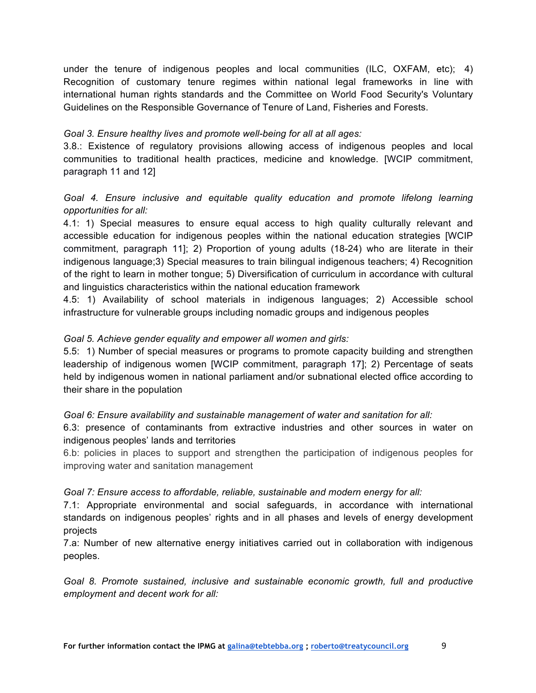under the tenure of indigenous peoples and local communities (ILC, OXFAM, etc); 4) Recognition of customary tenure regimes within national legal frameworks in line with international human rights standards and the Committee on World Food Security's Voluntary Guidelines on the Responsible Governance of Tenure of Land, Fisheries and Forests.

## *Goal 3. Ensure healthy lives and promote well-being for all at all ages:*

3.8.: Existence of regulatory provisions allowing access of indigenous peoples and local communities to traditional health practices, medicine and knowledge. [WCIP commitment, paragraph 11 and 12]

## *Goal 4. Ensure inclusive and equitable quality education and promote lifelong learning opportunities for all:*

4.1: 1) Special measures to ensure equal access to high quality culturally relevant and accessible education for indigenous peoples within the national education strategies [WCIP commitment, paragraph 11]; 2) Proportion of young adults (18-24) who are literate in their indigenous language;3) Special measures to train bilingual indigenous teachers; 4) Recognition of the right to learn in mother tongue; 5) Diversification of curriculum in accordance with cultural and linguistics characteristics within the national education framework

4.5: 1) Availability of school materials in indigenous languages; 2) Accessible school infrastructure for vulnerable groups including nomadic groups and indigenous peoples

## *Goal 5. Achieve gender equality and empower all women and girls:*

5.5: 1) Number of special measures or programs to promote capacity building and strengthen leadership of indigenous women [WCIP commitment, paragraph 17]; 2) Percentage of seats held by indigenous women in national parliament and/or subnational elected office according to their share in the population

#### *Goal 6: Ensure availability and sustainable management of water and sanitation for all:*

6.3: presence of contaminants from extractive industries and other sources in water on indigenous peoples' lands and territories

6.b: policies in places to support and strengthen the participation of indigenous peoples for improving water and sanitation management

#### *Goal 7: Ensure access to affordable, reliable, sustainable and modern energy for all:*

7.1: Appropriate environmental and social safeguards, in accordance with international standards on indigenous peoples' rights and in all phases and levels of energy development projects

7.a: Number of new alternative energy initiatives carried out in collaboration with indigenous peoples.

*Goal 8. Promote sustained, inclusive and sustainable economic growth, full and productive employment and decent work for all:*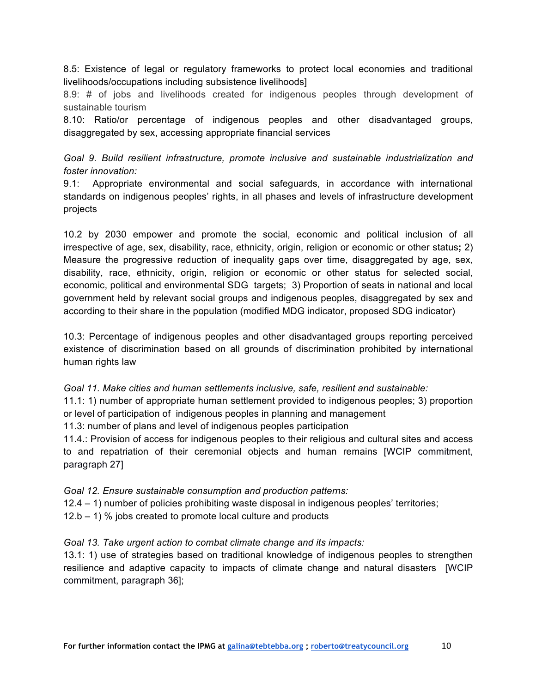8.5: Existence of legal or regulatory frameworks to protect local economies and traditional livelihoods/occupations including subsistence livelihoods]

8.9: # of jobs and livelihoods created for indigenous peoples through development of sustainable tourism

8.10: Ratio/or percentage of indigenous peoples and other disadvantaged groups, disaggregated by sex, accessing appropriate financial services

*Goal 9. Build resilient infrastructure, promote inclusive and sustainable industrialization and foster innovation:*

9.1: Appropriate environmental and social safeguards, in accordance with international standards on indigenous peoples' rights, in all phases and levels of infrastructure development projects

10.2 by 2030 empower and promote the social, economic and political inclusion of all irrespective of age, sex, disability, race, ethnicity, origin, religion or economic or other status**;** 2) Measure the progressive reduction of inequality gaps over time, disaggregated by age, sex, disability, race, ethnicity, origin, religion or economic or other status for selected social, economic, political and environmental SDG targets; 3) Proportion of seats in national and local government held by relevant social groups and indigenous peoples, disaggregated by sex and according to their share in the population (modified MDG indicator, proposed SDG indicator)

10.3: Percentage of indigenous peoples and other disadvantaged groups reporting perceived existence of discrimination based on all grounds of discrimination prohibited by international human rights law

*Goal 11. Make cities and human settlements inclusive, safe, resilient and sustainable:*

11.1: 1) number of appropriate human settlement provided to indigenous peoples; 3) proportion or level of participation of indigenous peoples in planning and management

11.3: number of plans and level of indigenous peoples participation

11.4.: Provision of access for indigenous peoples to their religious and cultural sites and access to and repatriation of their ceremonial objects and human remains [WCIP commitment, paragraph 27]

*Goal 12. Ensure sustainable consumption and production patterns:*

12.4 – 1) number of policies prohibiting waste disposal in indigenous peoples' territories;

12.b – 1) % jobs created to promote local culture and products

*Goal 13. Take urgent action to combat climate change and its impacts:*

13.1: 1) use of strategies based on traditional knowledge of indigenous peoples to strengthen resilience and adaptive capacity to impacts of climate change and natural disasters [WCIP commitment, paragraph 36];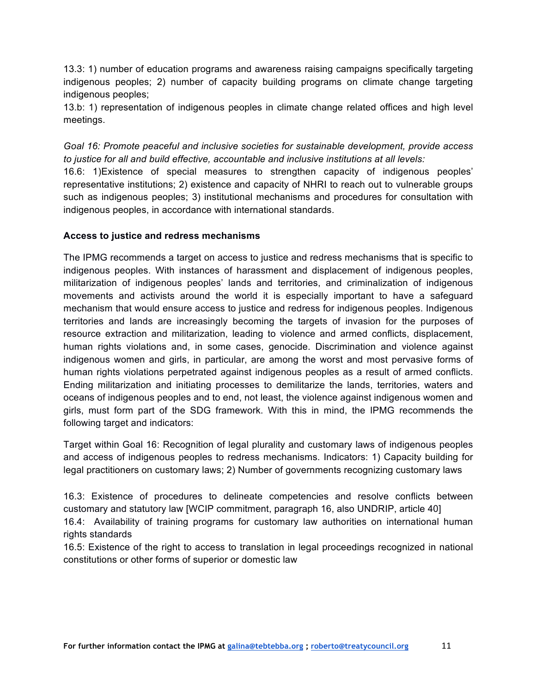13.3: 1) number of education programs and awareness raising campaigns specifically targeting indigenous peoples; 2) number of capacity building programs on climate change targeting indigenous peoples;

13.b: 1) representation of indigenous peoples in climate change related offices and high level meetings.

*Goal 16: Promote peaceful and inclusive societies for sustainable development, provide access to justice for all and build effective, accountable and inclusive institutions at all levels:*

16.6: 1)Existence of special measures to strengthen capacity of indigenous peoples' representative institutions; 2) existence and capacity of NHRI to reach out to vulnerable groups such as indigenous peoples; 3) institutional mechanisms and procedures for consultation with indigenous peoples, in accordance with international standards.

## **Access to justice and redress mechanisms**

The IPMG recommends a target on access to justice and redress mechanisms that is specific to indigenous peoples. With instances of harassment and displacement of indigenous peoples, militarization of indigenous peoples' lands and territories, and criminalization of indigenous movements and activists around the world it is especially important to have a safeguard mechanism that would ensure access to justice and redress for indigenous peoples. Indigenous territories and lands are increasingly becoming the targets of invasion for the purposes of resource extraction and militarization, leading to violence and armed conflicts, displacement, human rights violations and, in some cases, genocide. Discrimination and violence against indigenous women and girls, in particular, are among the worst and most pervasive forms of human rights violations perpetrated against indigenous peoples as a result of armed conflicts. Ending militarization and initiating processes to demilitarize the lands, territories, waters and oceans of indigenous peoples and to end, not least, the violence against indigenous women and girls, must form part of the SDG framework. With this in mind, the IPMG recommends the following target and indicators:

Target within Goal 16: Recognition of legal plurality and customary laws of indigenous peoples and access of indigenous peoples to redress mechanisms. Indicators: 1) Capacity building for legal practitioners on customary laws; 2) Number of governments recognizing customary laws

16.3: Existence of procedures to delineate competencies and resolve conflicts between customary and statutory law [WCIP commitment, paragraph 16, also UNDRIP, article 40] 16.4: Availability of training programs for customary law authorities on international human rights standards

16.5: Existence of the right to access to translation in legal proceedings recognized in national constitutions or other forms of superior or domestic law